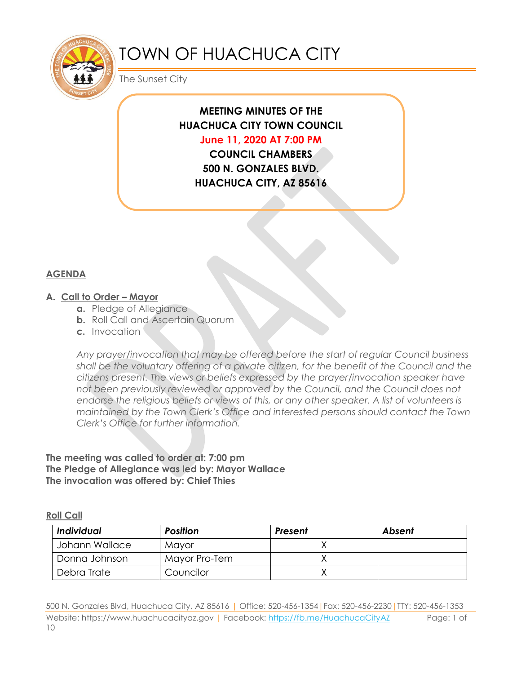

# TOWN OF HUACHUCA CITY

The Sunset City

# **MEETING MINUTES OF THE HUACHUCA CITY TOWN COUNCIL**

**June 11, 2020 AT 7:00 PM**

**COUNCIL CHAMBERS 500 N. GONZALES BLVD. HUACHUCA CITY, AZ 85616**

# **AGENDA**

#### **A. Call to Order – Mayor**

- **a.** Pledge of Allegiance
- **b.** Roll Call and Ascertain Quorum
- **c.** Invocation

*Any prayer/invocation that may be offered before the start of regular Council business shall be the voluntary offering of a private citizen, for the benefit of the Council and the citizens present. The views or beliefs expressed by the prayer/invocation speaker have not been previously reviewed or approved by the Council, and the Council does not endorse the religious beliefs or views of this, or any other speaker. A list of volunteers is maintained by the Town Clerk's Office and interested persons should contact the Town Clerk's Office for further information.*

#### **The meeting was called to order at: 7:00 pm The Pledge of Allegiance was led by: Mayor Wallace The invocation was offered by: Chief Thies**

#### **Roll Call**

| <b>Individual</b> | <b>Position</b> | Present | Absent |
|-------------------|-----------------|---------|--------|
| Johann Wallace    | Mavor           |         |        |
| Donna Johnson     | Mayor Pro-Tem   |         |        |
| Debra Trate       | Councilor       |         |        |

500 N. Gonzales Blvd, Huachuca City, AZ 85616 | Office: 520-456-1354|Fax: 520-456-2230|TTY: 520-456-1353 Website: https://www.huachucacityaz.gov | Facebook:<https://fb.me/HuachucaCityAZ> Page: 1 of 10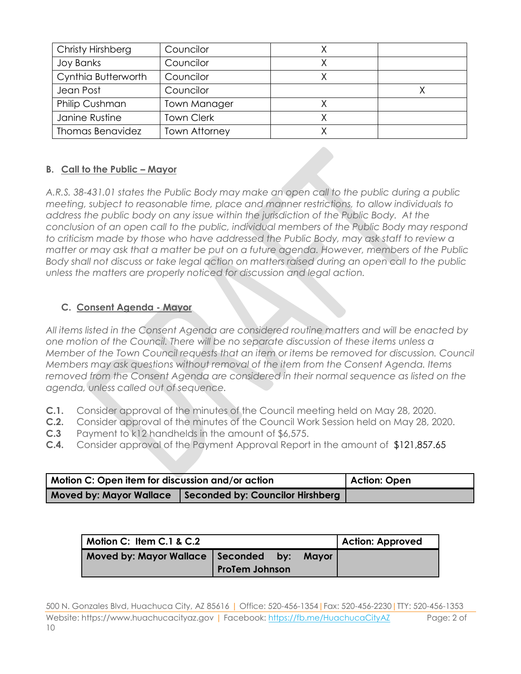| Christy Hirshberg       | Councilor            |  |
|-------------------------|----------------------|--|
| <b>Joy Banks</b>        | Councilor            |  |
| Cynthia Butterworth     | Councilor            |  |
| Jean Post               | Councilor            |  |
| Philip Cushman          | <b>Town Manager</b>  |  |
| Janine Rustine          | <b>Town Clerk</b>    |  |
| <b>Thomas Benavidez</b> | <b>Town Attorney</b> |  |

# **B. Call to the Public – Mayor**

*A.R.S. 38-431.01 states the Public Body may make an open call to the public during a public meeting, subject to reasonable time, place and manner restrictions, to allow individuals to address the public body on any issue within the jurisdiction of the Public Body. At the conclusion of an open call to the public, individual members of the Public Body may respond to criticism made by those who have addressed the Public Body, may ask staff to review a matter or may ask that a matter be put on a future agenda. However, members of the Public Body shall not discuss or take legal action on matters raised during an open call to the public unless the matters are properly noticed for discussion and legal action.*

# **C. Consent Agenda - Mayor**

*All items listed in the Consent Agenda are considered routine matters and will be enacted by one motion of the Council. There will be no separate discussion of these items unless a Member of the Town Council requests that an item or items be removed for discussion. Council Members may ask questions without removal of the item from the Consent Agenda. Items removed from the Consent Agenda are considered in their normal sequence as listed on the agenda, unless called out of sequence.*

- **C.1.** Consider approval of the minutes of the Council meeting held on May 28, 2020.
- **C.2.** Consider approval of the minutes of the Council Work Session held on May 28, 2020.
- **C.3** Payment to k12 handhelds in the amount of \$6,575.
- **C.4.** Consider approval of the Payment Approval Report in the amount of \$121,857.65

| Motion C: Open item for discussion and/or action |                                  | Action: Open |
|--------------------------------------------------|----------------------------------|--------------|
| <b>Moved by: Mayor Wallace</b>                   | Seconded by: Councilor Hirshberg |              |

| Motion C: Item C.1 & C.2               |                       |       | <b>Action: Approved</b> |
|----------------------------------------|-----------------------|-------|-------------------------|
| Moved by: Mayor Wallace   Seconded by: | <b>ProTem Johnson</b> | Mavor |                         |

500 N. Gonzales Blvd, Huachuca City, AZ 85616 | Office: 520-456-1354|Fax: 520-456-2230|TTY: 520-456-1353 Website: https://www.huachucacityaz.gov | Facebook:<https://fb.me/HuachucaCityAZ> Page: 2 of 10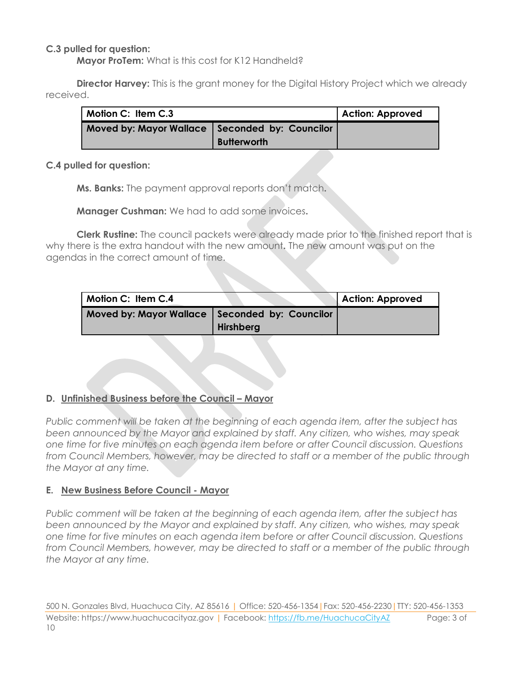#### **C.3 pulled for question:**

**Mayor ProTem:** What is this cost for K12 Handheld?

**Director Harvey:** This is the grant money for the Digital History Project which we already received.

| Motion C: Item C.3                               |                    | <b>Action: Approved</b> |
|--------------------------------------------------|--------------------|-------------------------|
| Moved by: Mayor Wallace   Seconded by: Councilor | <b>Butterworth</b> |                         |

#### **C.4 pulled for question:**

**Ms. Banks:** The payment approval reports don't match**.** 

**Manager Cushman:** We had to add some invoices**.** 

**Clerk Rustine:** The council packets were already made prior to the finished report that is why there is the extra handout with the new amount**.** The new amount was put on the agendas in the correct amount of time.

| Motion C: Item C.4                               |           | <b>Action: Approved</b> |
|--------------------------------------------------|-----------|-------------------------|
| Moved by: Mayor Wallace   Seconded by: Councilor | Hirshberg |                         |

#### **D. Unfinished Business before the Council – Mayor**

*Public comment will be taken at the beginning of each agenda item, after the subject has been announced by the Mayor and explained by staff. Any citizen, who wishes, may speak one time for five minutes on each agenda item before or after Council discussion. Questions from Council Members, however, may be directed to staff or a member of the public through the Mayor at any time.*

#### **E. New Business Before Council - Mayor**

*Public comment will be taken at the beginning of each agenda item, after the subject has been announced by the Mayor and explained by staff. Any citizen, who wishes, may speak one time for five minutes on each agenda item before or after Council discussion. Questions from Council Members, however, may be directed to staff or a member of the public through the Mayor at any time.*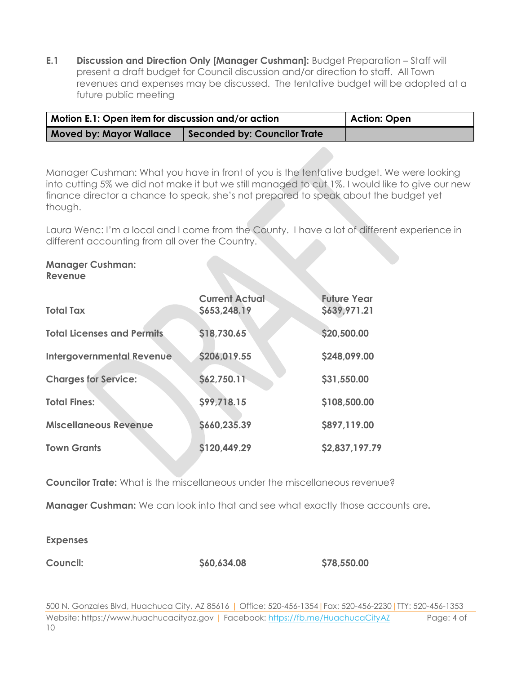**E.1 Discussion and Direction Only [Manager Cushman]:** Budget Preparation – Staff will present a draft budget for Council discussion and/or direction to staff. All Town revenues and expenses may be discussed. The tentative budget will be adopted at a future public meeting

| Motion E.1: Open item for discussion and/or action |                              | Action: Open |
|----------------------------------------------------|------------------------------|--------------|
| <b>Moved by: Mayor Wallace</b>                     | Seconded by: Councilor Trate |              |

Manager Cushman: What you have in front of you is the tentative budget. We were looking into cutting 5% we did not make it but we still managed to cut 1%. I would like to give our new finance director a chance to speak, she's not prepared to speak about the budget yet though.

Laura Wenc: I'm a local and I come from the County. I have a lot of different experience in different accounting from all over the Country.

#### **Manager Cushman: Revenue**

| <b>Total Tax</b>                  | <b>Current Actual</b><br>\$653,248.19 | <b>Future Year</b><br>\$639,971.21 |  |
|-----------------------------------|---------------------------------------|------------------------------------|--|
| <b>Total Licenses and Permits</b> | \$18,730.65                           | \$20,500.00                        |  |
| <b>Intergovernmental Revenue</b>  | \$206,019.55                          | \$248,099.00                       |  |
| <b>Charges for Service:</b>       | \$62,750.11                           | \$31,550.00                        |  |
| <b>Total Fines:</b>               | \$99,718.15                           | \$108,500.00                       |  |
| <b>Miscellaneous Revenue</b>      | \$660,235.39                          | \$897,119.00                       |  |
| <b>Town Grants</b>                | \$120,449.29                          | \$2,837,197.79                     |  |

**Councilor Trate:** What is the miscellaneous under the miscellaneous revenue?

**Manager Cushman:** We can look into that and see what exactly those accounts are**.** 

**Expenses**

**Council: \$60,634.08 \$78,550.00**

500 N. Gonzales Blvd, Huachuca City, AZ 85616 | Office: 520-456-1354|Fax: 520-456-2230|TTY: 520-456-1353 Website: https://www.huachucacityaz.gov | Facebook:<https://fb.me/HuachucaCityAZ> Page: 4 of 10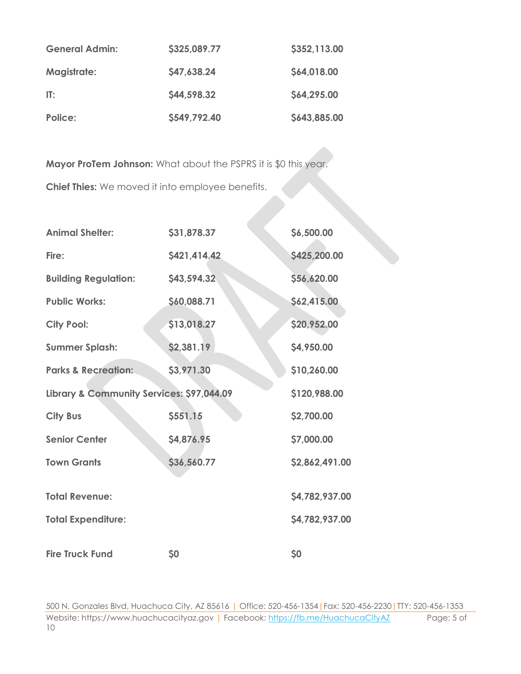| <b>General Admin:</b> | \$325,089.77 | \$352,113.00 |
|-----------------------|--------------|--------------|
| <b>Magistrate:</b>    | \$47,638.24  | \$64,018.00  |
| $\Pi$ :               | \$44,598.32  | \$64,295.00  |
| Police:               | \$549,792.40 | \$643,885.00 |

**Mayor ProTem Johnson:** What about the PSPRS it is \$0 this year.

**Chief Thies:** We moved it into employee benefits.

| <b>Animal Shelter:</b>                    | \$31,878.37  | \$6,500.00     |
|-------------------------------------------|--------------|----------------|
| Fire:                                     | \$421,414.42 | \$425,200.00   |
| <b>Building Regulation:</b>               | \$43,594.32  | \$56,620.00    |
| <b>Public Works:</b>                      | \$60,088.71  | \$62,415.00    |
| <b>City Pool:</b>                         | \$13,018.27  | \$20,952.00    |
| <b>Summer Splash:</b>                     | \$2,381.19   | \$4,950.00     |
| <b>Parks &amp; Recreation:</b>            | \$3,971.30   | \$10,260.00    |
| Library & Community Services: \$97,044.09 |              | \$120,988.00   |
| <b>City Bus</b>                           | \$551.15     | \$2,700.00     |
| <b>Senior Center</b>                      | \$4,876.95   | \$7,000.00     |
| <b>Town Grants</b>                        | \$36,560.77  | \$2,862,491.00 |
| <b>Total Revenue:</b>                     |              | \$4,782,937.00 |
| <b>Total Expenditure:</b>                 |              | \$4,782,937.00 |
| <b>Fire Truck Fund</b>                    | \$0          | \$0            |

500 N. Gonzales Blvd, Huachuca City, AZ 85616 | Office: 520-456-1354|Fax: 520-456-2230|TTY: 520-456-1353 Website: https://www.huachucacityaz.gov | Facebook:<https://fb.me/HuachucaCityAZ> Page: 5 of 10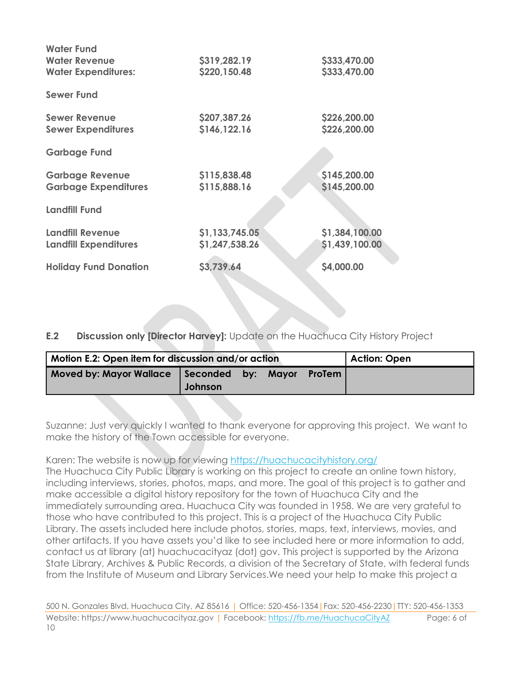| <b>Water Fund</b>            |                |                |
|------------------------------|----------------|----------------|
| <b>Water Revenue</b>         | \$319,282.19   | \$333,470.00   |
| <b>Water Expenditures:</b>   | \$220,150.48   | \$333,470.00   |
| <b>Sewer Fund</b>            |                |                |
| <b>Sewer Revenue</b>         | \$207,387.26   | \$226,200.00   |
| <b>Sewer Expenditures</b>    | \$146,122.16   | \$226,200.00   |
| <b>Garbage Fund</b>          |                |                |
| <b>Garbage Revenue</b>       | \$115,838.48   | \$145,200.00   |
| <b>Garbage Expenditures</b>  | \$115,888.16   | \$145,200.00   |
| <b>Landfill Fund</b>         |                |                |
| <b>Landfill Revenue</b>      | \$1,133,745.05 | \$1,384,100.00 |
| <b>Landfill Expenditures</b> | \$1,247,538.26 | \$1,439,100.00 |
| <b>Holiday Fund Donation</b> | \$3,739.64     | \$4,000.00     |
|                              |                |                |

**E.2 Discussion only [Director Harvey]:** Update on the Huachuca City History Project

| Motion E.2: Open item for discussion and/or action |         |  |  |               | <b>Action: Open</b> |
|----------------------------------------------------|---------|--|--|---------------|---------------------|
| Moved by: Mayor Wallace   Seconded by: Mayor       | Johnson |  |  | <b>ProTem</b> |                     |

Suzanne: Just very quickly I wanted to thank everyone for approving this project. We want to make the history of the Town accessible for everyone.

Karen: The website is now up for viewing<https://huachucacityhistory.org/>

The Huachuca City Public Library is working on this project to create an online town history, including interviews, stories, photos, maps, and more. The goal of this project is to gather and make accessible a digital history repository for the town of Huachuca City and the immediately surrounding area. Huachuca City was founded in 1958. We are very grateful to those who have contributed to this project. This is a project of the Huachuca City Public Library. The assets included here include photos, stories, maps, text, interviews, movies, and other artifacts. If you have assets you'd like to see included here or more information to add, contact us at library (at) huachucacityaz (dot) gov. This project is supported by the Arizona State Library, Archives & Public Records, a division of the Secretary of State, with federal funds from the Institute of Museum and Library Services.We need your help to make this project a

500 N. Gonzales Blvd, Huachuca City, AZ 85616 | Office: 520-456-1354|Fax: 520-456-2230|TTY: 520-456-1353 Website: https://www.huachucacityaz.gov | Facebook:<https://fb.me/HuachucaCityAZ> Page: 6 of 10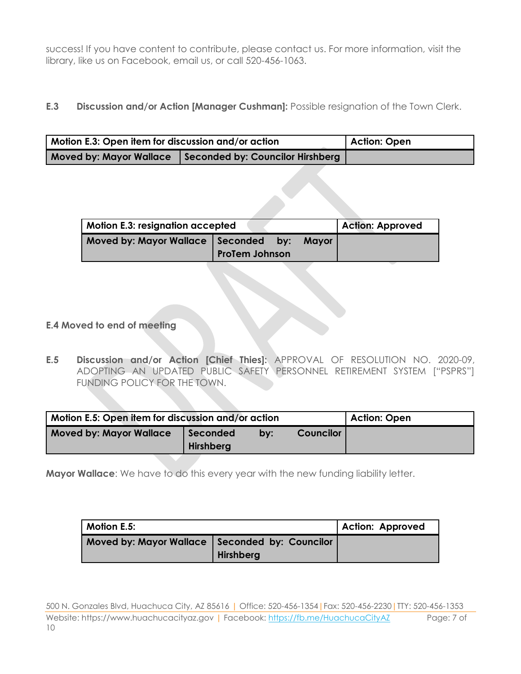success! If you have content to contribute, please contact us. For more information, visit the library, like us on Facebook, email us, or call 520-456-1063.

### **E.3 Discussion and/or Action [Manager Cushman]:** Possible resignation of the Town Clerk.

| Motion E.3: Open item for discussion and/or action | Action: Open                     |  |
|----------------------------------------------------|----------------------------------|--|
| <b>Moved by: Mayor Wallace</b>                     | Seconded by: Councilor Hirshberg |  |

| <b>Motion E.3: resignation accepted</b>      |                       |  | <b>Action: Approved</b> |
|----------------------------------------------|-----------------------|--|-------------------------|
| Moved by: Mayor Wallace   Seconded by: Mayor | <b>ProTem Johnson</b> |  |                         |

- **E.4 Moved to end of meeting**
- **E.5 Discussion and/or Action [Chief Thies]:** APPROVAL OF RESOLUTION NO. 2020-09, ADOPTING AN UPDATED PUBLIC SAFETY PERSONNEL RETIREMENT SYSTEM ["PSPRS"] FUNDING POLICY FOR THE TOWN.

| Motion E.5: Open item for discussion and/or action | <b>Action: Open</b>          |     |  |
|----------------------------------------------------|------------------------------|-----|--|
| <b>Moved by: Mayor Wallace</b>                     | Seconded<br><b>Hirshberg</b> | bv: |  |

**Mayor Wallace**: We have to do this every year with the new funding liability letter.

| <b>Motion E.5:</b>                               | Action: Approved |  |
|--------------------------------------------------|------------------|--|
| Moved by: Mayor Wallace   Seconded by: Councilor | <b>Hirshberg</b> |  |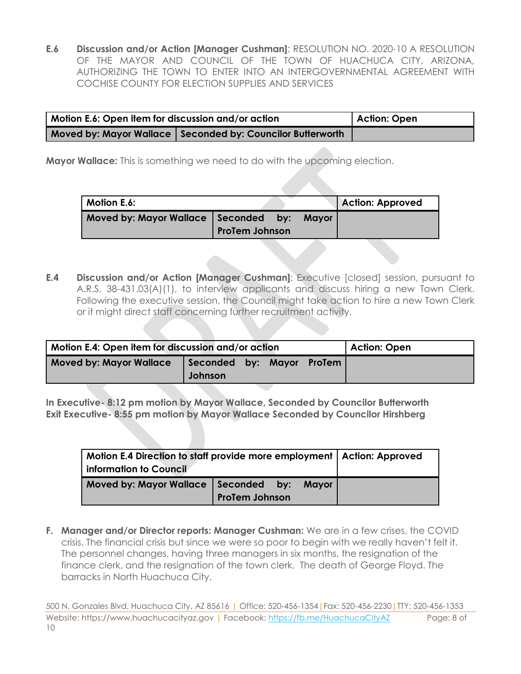**E.6 Discussion and/or Action [Manager Cushman]**: RESOLUTION NO. 2020-10 A RESOLUTION OF THE MAYOR AND COUNCIL OF THE TOWN OF HUACHUCA CITY, ARIZONA, AUTHORIZING THE TOWN TO ENTER INTO AN INTERGOVERNMENTAL AGREEMENT WITH COCHISE COUNTY FOR ELECTION SUPPLIES AND SERVICES

| Motion E.6: Open item for discussion and/or action | Action: Open                                                 |  |
|----------------------------------------------------|--------------------------------------------------------------|--|
|                                                    | Moved by: Mayor Wallace   Seconded by: Councilor Butterworth |  |

**Mayor Wallace:** This is something we need to do with the upcoming election.

| Motion E.6: |                                                                       |  |  | <b>Action: Approved</b> |  |
|-------------|-----------------------------------------------------------------------|--|--|-------------------------|--|
|             | Moved by: Mayor Wallace   Seconded by: Mayor<br><b>ProTem Johnson</b> |  |  |                         |  |

**E.4 Discussion and/or Action [Manager Cushman]**: Executive [closed] session, pursuant to A.R.S. 38-431.03(A)(1), to interview applicants and discuss hiring a new Town Clerk. Following the executive session, the Council might take action to hire a new Town Clerk or it might direct staff concerning further recruitment activity.

| Motion E.4: Open item for discussion and/or action |                                      |  |  |  | Action: Open |
|----------------------------------------------------|--------------------------------------|--|--|--|--------------|
| <b>Moved by: Mayor Wallace</b>                     | Seconded by: Mayor ProTem<br>Johnson |  |  |  |              |

**In Executive- 8:12 pm motion by Mayor Wallace, Seconded by Councilor Butterworth Exit Executive- 8:55 pm motion by Mayor Wallace Seconded by Councilor Hirshberg**

| Motion E.4 Direction to staff provide more employment   Action: Approved |                       |  |  |  |  |  |  |
|--------------------------------------------------------------------------|-----------------------|--|--|--|--|--|--|
|                                                                          |                       |  |  |  |  |  |  |
| information to Council                                                   |                       |  |  |  |  |  |  |
| Moved by: Mayor Wallace   Seconded by: Mayor                             |                       |  |  |  |  |  |  |
|                                                                          | <b>ProTem Johnson</b> |  |  |  |  |  |  |

**F. Manager and/or Director reports: Manager Cushman:** We are in a few crises, the COVID crisis. The financial crisis but since we were so poor to begin with we really haven't felt it. The personnel changes, having three managers in six months, the resignation of the finance clerk, and the resignation of the town clerk. The death of George Floyd. The barracks in North Huachuca City.

<sup>500</sup> N. Gonzales Blvd, Huachuca City, AZ 85616 | Office: 520-456-1354|Fax: 520-456-2230|TTY: 520-456-1353 Website: https://www.huachucacityaz.gov | Facebook:<https://fb.me/HuachucaCityAZ> Page: 8 of 10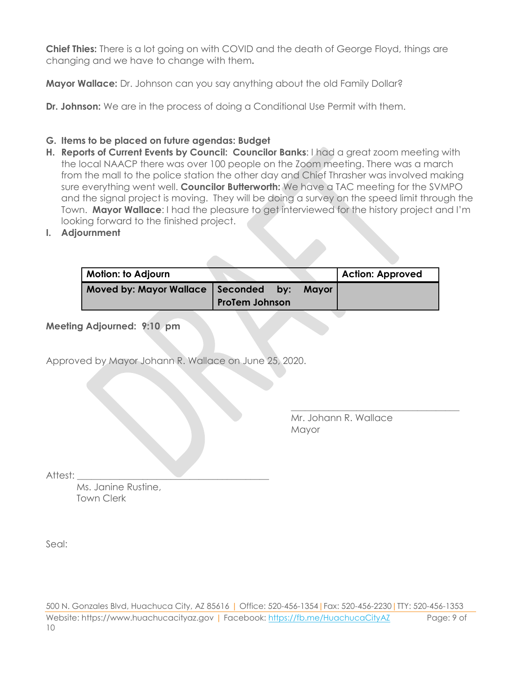**Chief Thies:** There is a lot going on with COVID and the death of George Floyd, things are changing and we have to change with them**.**

**Mayor Wallace:** Dr. Johnson can you say anything about the old Family Dollar?

**Dr. Johnson:** We are in the process of doing a Conditional Use Permit with them.

# **G. Items to be placed on future agendas: Budget**

- **H. Reports of Current Events by Council: Councilor Banks**: I had a great zoom meeting with the local NAACP there was over 100 people on the Zoom meeting. There was a march from the mall to the police station the other day and Chief Thrasher was involved making sure everything went well. **Councilor Butterworth:** We have a TAC meeting for the SVMPO and the signal project is moving. They will be doing a survey on the speed limit through the Town. **Mayor Wallace**: I had the pleasure to get interviewed for the history project and I'm looking forward to the finished project.
- **I. Adjournment**

| Motion: to Adjourn                     |                       |       | Action: Approved |
|----------------------------------------|-----------------------|-------|------------------|
| Moved by: Mayor Wallace   Seconded by: | <b>ProTem Johnson</b> | Mavor |                  |

**Meeting Adjourned: 9:10 pm**

Approved by Mayor Johann R. Wallace on June 25, 2020.

Mr. Johann R. Wallace Mayor

\_\_\_\_\_\_\_\_\_\_\_\_\_\_\_\_\_\_\_\_\_\_\_\_\_\_\_\_\_\_\_\_\_\_\_\_

Attest:

Ms. Janine Rustine, Town Clerk

Seal:

500 N. Gonzales Blvd, Huachuca City, AZ 85616 | Office: 520-456-1354|Fax: 520-456-2230|TTY: 520-456-1353 Website: https://www.huachucacityaz.gov | Facebook:<https://fb.me/HuachucaCityAZ> Page: 9 of 10